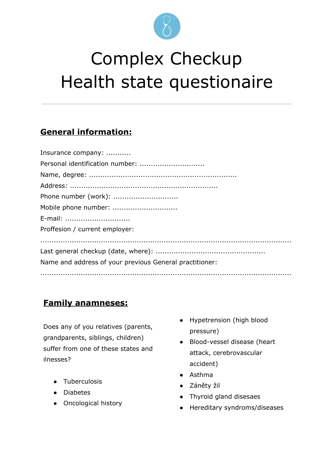

# Complex Checkup Health state questionaire

# **Generalinformation:**

| Insurance company:                                      |
|---------------------------------------------------------|
|                                                         |
|                                                         |
|                                                         |
| Phone number (work):                                    |
| Mobile phone number:                                    |
| E-mail:                                                 |
| Proffesion / current employer:                          |
|                                                         |
|                                                         |
| Name and address of your previous General practitioner: |
|                                                         |

# **Familyanamneses:**

Does any of you relatives (parents, grandparents, siblings, children) suffer from one of these states and ilnesses?

- **Tuberculosis**
- **Diabetes**
- Oncological history
- Hypetrension (high blood pressure)
- Blood-vessel disease (heart attack, cerebrovascular accident)
- Asthma
- Záněty žil
- Thyroid gland disesaes
- Hereditary syndroms/diseases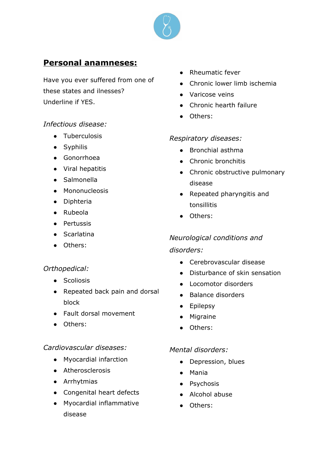

### **Personalanamneses:**

Have you ever suffered from one of these states and ilnesses? Underline if YES.

#### *Infectious disease:*

- Tuberculosis
- Syphilis
- Gonorrhoea
- Viral hepatitis
- Salmonella
- Mononucleosis
- Diphteria
- Rubeola
- Pertussis
- Scarlatina
- Others:

#### *Orthopedical:*

- Scoliosis
- Repeated back pain and dorsal block
- Fault dorsal movement
- Others:

#### *Cardiovascular diseases:*

- Myocardial infarction
- Atherosclerosis
- Arrhytmias
- Congenital heart defects
- Myocardial inflammative disease
- Rheumatic fever
- Chronic lower limb ischemia
- Varicose veins
- Chronic hearth failure
- Others:

#### *Respiratory diseases:*

- Bronchial asthma
- Chronic bronchitis
- Chronic obstructive pulmonary disease
- Repeated pharyngitis and tonsillitis
- Others:

#### *Neurological conditions and*

#### *disorders:*

- Cerebrovascular disease
- Disturbance of skin sensation
- Locomotor disorders
- Balance disorders
- Epilepsy
- Migraine
- Others:

#### *Mental disorders:*

- Depression, blues
- Mania
- Psychosis
- Alcohol abuse
- Others: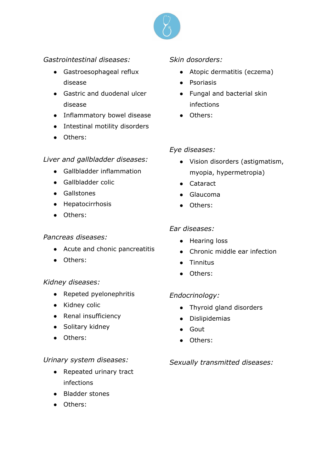

#### *Gastrointestinal diseases:*

- Gastroesophageal reflux disease
- Gastric and duodenal ulcer disease
- Inflammatory bowel disease
- Intestinal motility disorders
- Others:

#### *Liver and gallbladder diseases:*

- Gallbladder inflammation
- Gallbladder colic
- Gallstones
- Hepatocirrhosis
- Others:

#### *Pancreas diseases:*

- Acute and chonic pancreatitis
- Others:

#### *Kidney diseases:*

- Repeted pyelonephritis
- Kidney colic
- Renal insufficiency
- Solitary kidney
- Others:

#### *Urinary system diseases:*

- Repeated urinary tract infections
- Bladder stones
- Others:

#### *Skin dosorders:*

- Atopic dermatitis (eczema)
- Psoriasis
- Fungal and bacterial skin infections
- Others:

#### *Eye diseases:*

- Vision disorders (astigmatism, myopia, hypermetropia)
- Cataract
- Glaucoma
- Others:

#### *Ear diseases:*

- Hearing loss
- Chronic middle ear infection
- Tinnitus
- Others:

#### *Endocrinology:*

- Thyroid gland disorders
- Dislipidemias
- Gout
- Others:

#### *Sexually transmitted diseases:*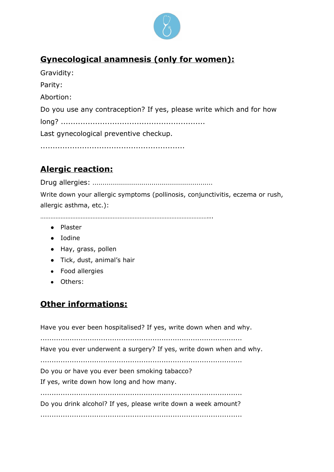

# **Gynecologicalanamnesis(onlyforwomen):**

| Gravidity:                                                           |
|----------------------------------------------------------------------|
| Parity:                                                              |
| Abortion:                                                            |
| Do you use any contraception? If yes, please write which and for how |
|                                                                      |
| Last gynecological preventive checkup.                               |
|                                                                      |

# **Alergicreaction:**

Drug allergies: ...........................................................

...........................................................

Write down your allergic symptoms (pollinosis, conjunctivitis, eczema or rush, allergic asthma, etc.):

………………………………………………………………………………………...

- Plaster
- Iodine
- Hay, grass, pollen
- Tick, dust, animal's hair
- Food allergies
- Others:

# **Otherinformations:**

Have you ever been hospitalised? If yes, write down when and why.

..........................................................................................

Have you ever underwent a surgery? If yes, write down when and why.

..........................................................................................

Do you or have you ever been smoking tabacco?

If yes, write down how long and how many.

..........................................................................................

Do you drink alcohol? If yes, please write down a week amount?

..........................................................................................